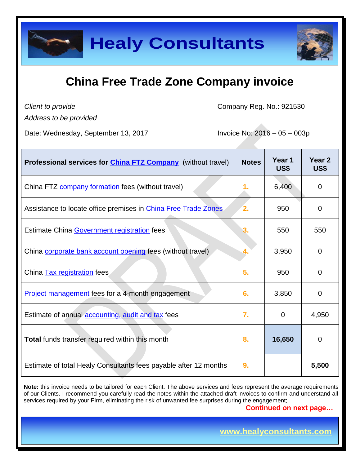

*Client to provide*

Company Reg. No.: 921530

*Address to be provided*

Date: Wednesday, September 13, 2017 Invoice No: 2016 – 05 – 003p

| Professional services for <i>China FTZ Company</i> (without travel) | <b>Notes</b> | Year 1<br>US\$ | Year <sub>2</sub><br>US\$ |
|---------------------------------------------------------------------|--------------|----------------|---------------------------|
| China FTZ <b>company formation</b> fees (without travel)            | 1.           | 6,400          | $\overline{0}$            |
| Assistance to locate office premises in China Free Trade Zones      | $\mathbf{2}$ | 950            | 0                         |
| Estimate China Government registration fees                         | 3.           | 550            | 550                       |
| China corporate bank account opening fees (without travel)          | 4.           | 3,950          | $\Omega$                  |
| China Tax registration fees                                         | 5.           | 950            | $\mathbf 0$               |
| <b>Project management fees for a 4-month engagement</b>             | 6.           | 3,850          | $\overline{0}$            |
| Estimate of annual <b>accounting</b> , audit and tax fees           | 7.           | $\mathbf 0$    | 4,950                     |
| Total funds transfer required within this month                     | 8.           | 16,650         | $\overline{0}$            |
| Estimate of total Healy Consultants fees payable after 12 months    | 9.           |                | 5,500                     |

**Note:** this invoice needs to be tailored for each Client. The above services and fees represent the average requirements of our Clients. I recommend you carefully read the notes within the attached draft invoices to confirm and understand all services required by your Firm, eliminating the risk of unwanted fee surprises during the engagement;

 **Continued on next page…**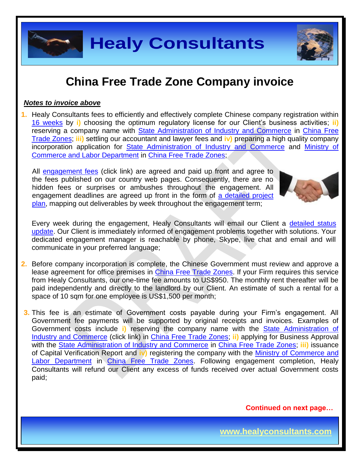

### *Notes to invoice above*

**1.** Healy Consultants fees to efficiently and effectively complete Chinese company registration within [16 weeks](http://www.healyconsultants.com/china-company-registration/fees-timelines/) by **i)** choosing the optimum regulatory license for our Client's business activities; **ii)** reserving a company name with **State Administration of Industry and Commerce in China Free** [Trade Zones;](http://fta.mofcom.gov.cn/) **iii)** settling our accountant and lawyer fees and **iv)** preparing a high quality company incorporation application for [State Administration of Industry and Commerce](http://www.saic.gov.cn/english/) and [Ministry of](http://english.mofcom.gov.cn/aarticle/policyrelease/internationalpolicy/200703/20070304475283.html)  [Commerce and Labor Department](http://english.mofcom.gov.cn/aarticle/policyrelease/internationalpolicy/200703/20070304475283.html) in [China Free Trade Zones;](http://fta.mofcom.gov.cn/)

All [engagement fees](http://www.healyconsultants.com/company-registration-fees/) (click link) are agreed and paid up front and agree to the fees published on our country web pages. Consequently, there are no hidden fees or surprises or ambushes throughout the engagement. All engagement deadlines are agreed up front in the form of [a detailed project](http://www.healyconsultants.com/index-important-links/example-project-plan/)  [plan,](http://www.healyconsultants.com/index-important-links/example-project-plan/) mapping out deliverables by week throughout the engagement term;



Every week during the engagement, Healy Consultants will email our Client a detailed status [update.](http://www.healyconsultants.com/index-important-links/weekly-engagement-status-email/) Our Client is immediately informed of engagement problems together with solutions. Your dedicated engagement manager is reachable by phone, Skype, live chat and email and will communicate in your preferred language;

- **2.** Before company incorporation is complete, the Chinese Government must review and approve a lease agreement for office premises in [China Free Trade Zones.](http://fta.mofcom.gov.cn/) If your Firm requires this service from Healy Consultants, our one-time fee amounts to US\$950. The monthly rent thereafter will be paid independently and directly to the landlord by our Client. An estimate of such a rental for a space of 10 sqm for one employee is US\$1,500 per month;
- **3.** This fee is an estimate of Government costs payable during your Firm's engagement. All Government fee payments will be supported by original receipts and invoices. Examples of Government costs include **i)** reserving the company name with the [State Administration of](http://www.saic.gov.cn/english/)  [Industry and Commerce](http://www.saic.gov.cn/english/) (click link) in [China Free Trade Zones;](http://fta.mofcom.gov.cn/) **ii)** applying for Business Approval with the [State Administration of Industry and Commerce](http://www.saic.gov.cn/english/) in [China Free Trade Zones;](http://fta.mofcom.gov.cn/) **iii)** issuance of Capital Verification Report and **iv)** registering the company with the [Ministry of Commerce and](http://english.mofcom.gov.cn/aarticle/policyrelease/internationalpolicy/200703/20070304475283.html)  [Labor Department](http://english.mofcom.gov.cn/aarticle/policyrelease/internationalpolicy/200703/20070304475283.html) in [China Free Trade Zones.](http://fta.mofcom.gov.cn/) Following engagement completion, Healy Consultants will refund our Client any excess of funds received over actual Government costs paid;

 **Continued on next page…**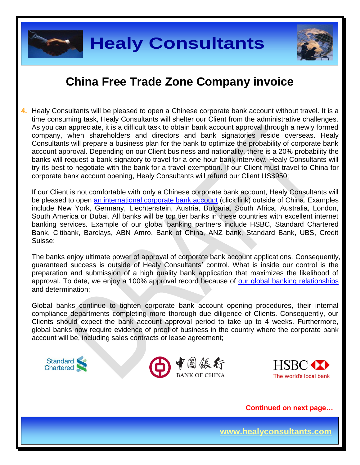

**4.** Healy Consultants will be pleased to open a Chinese corporate bank account without travel. It is a time consuming task, Healy Consultants will shelter our Client from the administrative challenges. As you can appreciate, it is a difficult task to obtain bank account approval through a newly formed company, when shareholders and directors and bank signatories reside overseas. Healy Consultants will prepare a business plan for the bank to optimize the probability of corporate bank account approval. Depending on our Client business and nationality, there is a 20% probability the banks will request a bank signatory to travel for a one-hour bank interview. Healy Consultants will try its best to negotiate with the bank for a travel exemption. If our Client must travel to China for corporate bank account opening, Healy Consultants will refund our Client US\$950;

If our Client is not comfortable with only a Chinese corporate bank account, Healy Consultants will be pleased to open [an international corporate bank account](http://www.healyconsultants.com/international-banking/) (click link) outside of China. Examples include New York, Germany, Liechtenstein, Austria, Bulgaria, South Africa, Australia, London, South America or Dubai. All banks will be top tier banks in these countries with excellent internet banking services. Example of our global banking partners include HSBC, Standard Chartered Bank, Citibank, Barclays, ABN Amro, Bank of China, ANZ bank, Standard Bank, UBS, Credit Suisse;

The banks enjoy ultimate power of approval of corporate bank account applications. Consequently, guaranteed success is outside of Healy Consultants' control. What is inside our control is the preparation and submission of a high quality bank application that maximizes the likelihood of approval. To date, we enjoy a 100% approval record because of [our global banking relationships](http://www.healyconsultants.com/international-banking/corporate-accounts/) and determination;

Global banks continue to tighten corporate bank account opening procedures, their internal compliance departments completing more thorough due diligence of Clients. Consequently, our Clients should expect the bank account approval period to take up to 4 weeks. Furthermore, global banks now require evidence of proof of business in the country where the corporate bank account will be, including sales contracts or lease agreement;



 **Continued on next page…**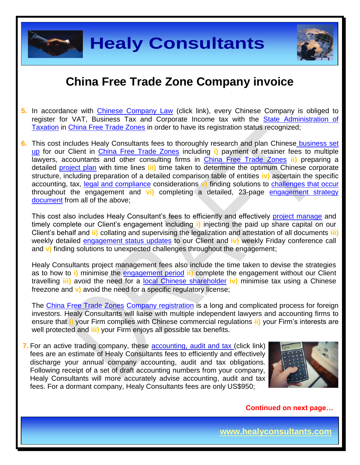



- **5.** In accordance with [Chinese Company Law](http://www.china.org.cn/government/laws/2007-06/06/content_1207345.htm) (click link), every Chinese Company is obliged to register for VAT, Business Tax and Corporate Income tax with the State Administration of [Taxation](http://www.chinatax.gov.cn/2013/n2925/) in [China Free Trade Zones](http://fta.mofcom.gov.cn/) in order to have its registration status recognized;
- **6.** This cost includes Healy Consultants fees to thoroughly research and plan Chinese [business set](http://www.healyconsultants.com/china-company-registration/)  [up](http://www.healyconsultants.com/china-company-registration/) for our Client in [China Free Trade Zones](http://fta.mofcom.gov.cn/) including **i)** payment of retainer fees to multiple lawyers, accountants and other consulting firms in [China Free Trade Zones](http://fta.mofcom.gov.cn/) **ii)** preparing a detailed [project plan](http://www.healyconsultants.com/index-important-links/example-project-plan/) with time lines **iii)** time taken to determine the optimum Chinese corporate structure, including preparation of a detailed comparison table of entities **iv)** ascertain the specific accounting, tax, [legal and compliance](http://www.healyconsultants.com/about-us/key-personnel/cai-xin-profile/) considerations **v)** finding solutions to [challenges that occur](http://www.healyconsultants.com/engagement-project-management/) throughout the engagement and **vi)** completing a detailed, 23-page [engagement strategy](http://www.healyconsultants.com/engagement-strategy/)  [document](http://www.healyconsultants.com/engagement-strategy/) from all of the above;

This cost also includes Healy Consultant's fees to efficiently and effectively [project manage](http://www.healyconsultants.com/project-manage-engagements/) and timely complete our Client's engagement including **i)** injecting the paid up share capital on our Client's behalf and **ii)** collating and supervising the legalization and attestation of all documents **iii)**  weekly detailed [engagement status updates](http://www.healyconsultants.com/index-important-links/weekly-engagement-status-email/) to our Client and **iv)** weekly Friday conference call and **v)** finding solutions to unexpected challenges throughout the engagement;

Healy Consultants project management fees also include the time taken to devise the strategies as to how to **i)** minimise the [engagement period](http://www.healyconsultants.com/china-company-registration/fees-timelines/#timelines) **ii)** complete the engagement without our Client travelling **iii)** avoid the need for a [local Chinese shareholder](http://www.healyconsultants.com/support-services/) **iv)** minimise tax using a Chinese freezone and **v)** avoid the need for a specific regulatory license;

The [China Free Trade Zones](http://fta.mofcom.gov.cn/) Company registration is a long and complicated process for foreign investors. Healy Consultants will liaise with multiple independent lawyers and accounting firms to ensure that **i)** your Firm complies with Chinese commercial regulations **ii)** your Firm's interests are well protected and **iii)** your Firm enjoys all possible tax benefits.

**7.** For an active trading company, these [accounting, audit](http://www.healyconsultants.com/china-company-registration/accounting-legal/) and tax (click link) fees are an estimate of Healy Consultants fees to efficiently and effectively discharge your annual company accounting, audit and tax obligations. Following receipt of a set of draft accounting numbers from your company, Healy Consultants will more accurately advise accounting, audit and tax fees. For a dormant company, Healy Consultants fees are only US\$950;



 **Continued on next page…**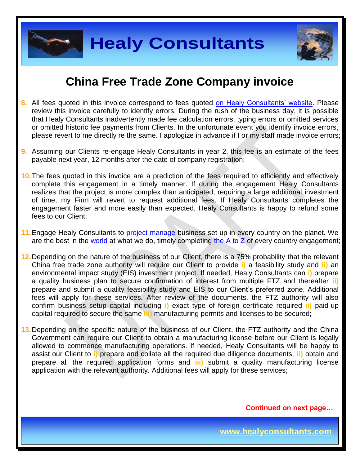**Healy Consultants**

## **China Free Trade Zone Company invoice**

- **8.** All fees quoted in this invoice correspond to fees quoted [on Healy Consultants' website.](http://www.healyconsultants.com/company-registration-fees/) Please review this invoice carefully to identify errors. During the rush of the business day, it is possible that Healy Consultants inadvertently made fee calculation errors, typing errors or omitted services or omitted historic fee payments from Clients. In the unfortunate event you identify invoice errors, please revert to me directly re the same. I apologize in advance if I or my staff made invoice errors;
- **9.** Assuming our Clients re-engage Healy Consultants in year 2, this fee is an estimate of the fees payable next year, 12 months after the date of company registration;
- **10.**The fees quoted in this invoice are a prediction of the fees required to efficiently and effectively complete this engagement in a timely manner. If during the engagement Healy Consultants realizes that the project is more complex than anticipated, requiring a large additional investment of time, my Firm will revert to request additional fees. If Healy Consultants completes the engagement faster and more easily than expected, Healy Consultants is happy to refund some fees to our Client;
- **11.**Engage Healy Consultants to [project manage](http://www.healyconsultants.com/project-manage-engagements/) business set up in every country on the planet. We are the best in the [world](http://www.healyconsultants.com/best-in-the-world/) at what we do, timely completing the  $A$  to  $Z$  of every country engagement;
- **12.**Depending on the nature of the business of our Client, there is a 75% probability that the relevant China free trade zone authority will require our Client to provide **i)** a feasibility study and **ii)** an environmental impact study (EIS) investment project. If needed, Healy Consultants can **i)** prepare a quality business plan to secure confirmation of interest from multiple FTZ and thereafter **ii)** prepare and submit a quality feasibility study and EIS to our Client's preferred zone. Additional fees will apply for these services. After review of the documents, the FTZ authority will also confirm business setup capital including **i)** exact type of foreign certificate required **ii)** paid-up capital required to secure the same **iii)** manufacturing permits and licenses to be secured;

**13.**Depending on the specific nature of the business of our Client, the FTZ authority and the China Government can require our Client to obtain a manufacturing license before our Client is legally allowed to commence manufacturing operations. If needed, Healy Consultants will be happy to assist our Client to **i)** prepare and collate all the required due diligence documents, **ii)** obtain and prepare all the required application forms and **iii)** submit a quality manufacturing license application with the relevant authority. Additional fees will apply for these services;

 **Continued on next page…**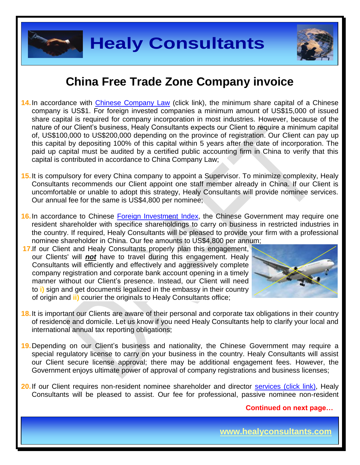

**Healy Consultants**

### **China Free Trade Zone Company invoice**

- **14.**In accordance with [Chinese Company Law](http://www.china.org.cn/government/laws/2007-06/06/content_1207345.htm) (click link), the minimum share capital of a Chinese company is US\$1. For foreign invested companies a minimum amount of US\$15,000 of issued share capital is required for company incorporation in most industries. However, because of the nature of our Client's business, Healy Consultants expects our Client to require a minimum capital of, US\$100,000 to US\$200,000 depending on the province of registration. Our Client can pay up this capital by depositing 100% of this capital within 5 years after the date of incorporation. The paid up capital must be audited by a certified public accounting firm in China to verify that this capital is contributed in accordance to China Company Law;
- **15.**It is compulsory for every China company to appoint a Supervisor. To minimize complexity, Healy Consultants recommends our Client appoint one staff member already in China. If our Client is uncomfortable or unable to adopt this strategy, Healy Consultants will provide nominee services. Our annual fee for the same is US\$4,800 per nominee;
- 16. In accordance to Chinese [Foreign Investment Index,](http://www.ndrc.gov.cn/zcfb/zcfbl/201503/W020150402620481787669.pdf) the Chinese Government may require one resident shareholder with specifice shareholdings to carry on business in restricted industries in the country. If required, Healy Consultants will be pleased to provide your firm with a professional nominee shareholder in China. Our fee amounts to US\$4,800 per annum;
- **17.**If our Client and Healy Consultants properly plan this engagement, our Clients' will *not* have to travel during this engagement. Healy Consultants will efficiently and effectively and aggressively complete company registration and corporate bank account opening in a timely manner without our Client's presence. Instead, our Client will need to **i)** sign and get documents legalized in the embassy in their country of origin and **ii)** courier the originals to Healy Consultants office;



- **18.**It is important our Clients are aware of their personal and corporate tax obligations in their country of residence and domicile. Let us know if you need Healy Consultants help to clarify your local and international annual tax reporting obligations;
- **19.**Depending on our Client's business and nationality, the Chinese Government may require a special regulatory license to carry on your business in the country. Healy Consultants will assist our Client secure license approval; there may be additional engagement fees. However, the Government enjoys ultimate power of approval of company registrations and business licenses;
- **20.** If our Client requires non-resident nominee shareholder and director [services \(click link\),](http://www.healyconsultants.com/corporate-outsourcing-services/nominee-shareholders-directors/) Healy Consultants will be pleased to assist. Our fee for professional, passive nominee non-resident

 **Continued on next page…**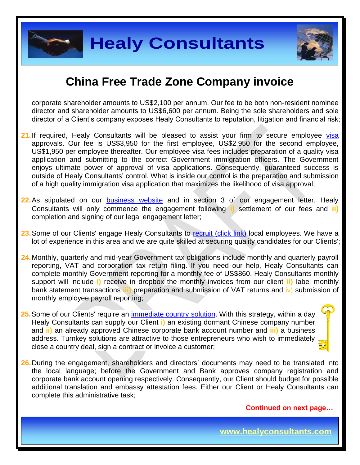



corporate shareholder amounts to US\$2,100 per annum. Our fee to be both non-resident nominee director and shareholder amounts to US\$6,600 per annum. Being the sole shareholders and sole director of a Client's company exposes Healy Consultants to reputation, litigation and financial risk;

- 21. If required, Healy Consultants will be pleased to assist your firm to secure employee [visa](http://www.healyconsultants.com/china-company-registration/formation-support-services/) approvals. Our fee is US\$3,950 for the first employee, US\$2,950 for the second employee, US\$1,950 per employee thereafter. Our employee visa fees includes preparation of a quality visa application and submitting to the correct Government immigration officers. The Government enjoys ultimate power of approval of visa applications. Consequently, guaranteed success is outside of Healy Consultants' control. What is inside our control is the preparation and submission of a high quality immigration visa application that maximizes the likelihood of visa approval;
- 22. As stipulated on our **[business website](http://www.healyconsultants.com/)** and in section 3 of our engagement letter, Healy Consultants will only commence the engagement following **i)** settlement of our fees and **ii)** completion and signing of our legal engagement letter;
- 23. Some of our Clients' engage Healy Consultants to [recruit \(click link\)](http://www.healyconsultants.com/corporate-outsourcing-services/how-we-help-our-clients-recruit-quality-employees/) local employees. We have a lot of experience in this area and we are quite skilled at securing quality candidates for our Clients';
- **24.**Monthly, quarterly and mid-year Government tax obligations include monthly and quarterly payroll reporting, VAT and corporation tax return filing. If you need our help, Healy Consultants can complete monthly Government reporting for a monthly fee of US\$860. Healy Consultants monthly support will include **i)** receive in dropbox the monthly invoices from our client **ii)** label monthly bank statement transactions **iii)** preparation and submission of VAT returns and iv) submission of monthly employee payroll reporting;
- **25.**Some of our Clients' require an [immediate country](http://www.healyconsultants.com/turnkey-solutions/) solution. With this strategy, within a day Healy Consultants can supply our Client **i)** an existing dormant Chinese company number and **ii)** an already approved Chinese corporate bank account number and **iii)** a business address. Turnkey solutions are attractive to those entrepreneurs who wish to immediately close a country deal, sign a contract or invoice a customer;
- **26.**During the engagement, shareholders and directors' documents may need to be translated into the local language; before the Government and Bank approves company registration and corporate bank account opening respectively. Consequently, our Client should budget for possible additional translation and embassy attestation fees. Either our Client or Healy Consultants can complete this administrative task;

 **Continued on next page…**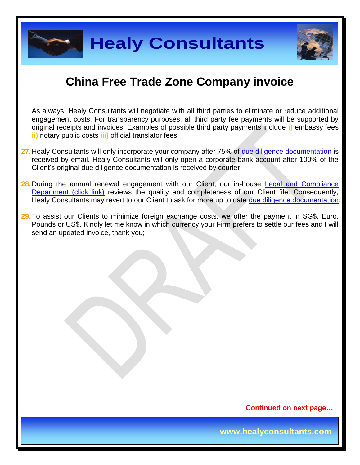

**Healy Consultants**



## **China Free Trade Zone Company invoice**

As always, Healy Consultants will negotiate with all third parties to eliminate or reduce additional engagement costs. For transparency purposes, all third party fee payments will be supported by original receipts and invoices. Examples of possible third party payments include **i)** embassy fees **ii)** notary public costs **iii)** official translator fees;

- **27.**Healy Consultants will only incorporate your company after 75% of [due diligence documentation](http://www.healyconsultants.com/due-diligence/) is received by email. Healy Consultants will only open a corporate bank account after 100% of the Client's original due diligence documentation is received by courier;
- 28. During the annual renewal engagement with our Client, our in-house Legal and Compliance [Department \(click link\)](http://www.healyconsultants.com/about-us/key-personnel/cai-xin-profile/) reviews the quality and completeness of our Client file. Consequently, Healy Consultants may revert to our Client to ask for more up to date [due diligence documentation;](http://www.healyconsultants.com/due-diligence/)
- **29.**To assist our Clients to minimize foreign exchange costs, we offer the payment in SG\$, Euro, Pounds or US\$. Kindly let me know in which currency your Firm prefers to settle our fees and I will send an updated invoice, thank you;

 **Continued on next page…**